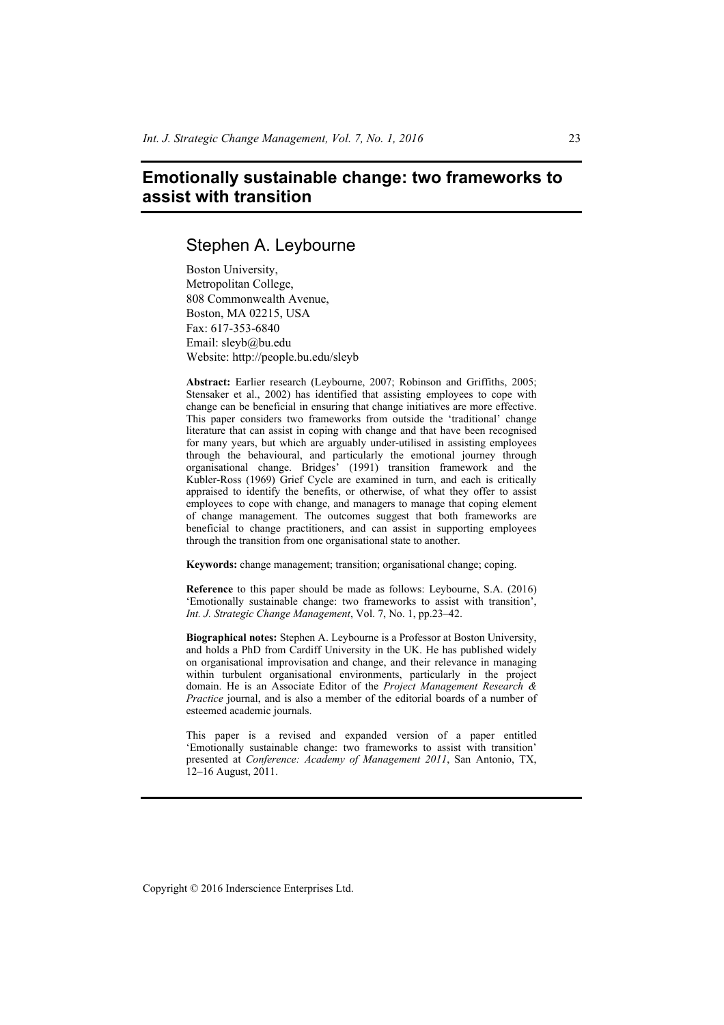# **Emotionally sustainable change: two frameworks to assist with transition**

# Stephen A. Leybourne

Boston University, Metropolitan College, 808 Commonwealth Avenue, Boston, MA 02215, USA Fax: 617-353-6840 Email: sleyb@bu.edu Website: http://people.bu.edu/sleyb

**Abstract:** Earlier research (Leybourne, 2007; Robinson and Griffiths, 2005; Stensaker et al., 2002) has identified that assisting employees to cope with change can be beneficial in ensuring that change initiatives are more effective. This paper considers two frameworks from outside the 'traditional' change literature that can assist in coping with change and that have been recognised for many years, but which are arguably under-utilised in assisting employees through the behavioural, and particularly the emotional journey through organisational change. Bridges' (1991) transition framework and the Kubler-Ross (1969) Grief Cycle are examined in turn, and each is critically appraised to identify the benefits, or otherwise, of what they offer to assist employees to cope with change, and managers to manage that coping element of change management. The outcomes suggest that both frameworks are beneficial to change practitioners, and can assist in supporting employees through the transition from one organisational state to another.

**Keywords:** change management; transition; organisational change; coping.

**Reference** to this paper should be made as follows: Leybourne, S.A. (2016) 'Emotionally sustainable change: two frameworks to assist with transition', *Int. J. Strategic Change Management*, Vol. 7, No. 1, pp.23–42.

**Biographical notes:** Stephen A. Leybourne is a Professor at Boston University, and holds a PhD from Cardiff University in the UK. He has published widely on organisational improvisation and change, and their relevance in managing within turbulent organisational environments, particularly in the project domain. He is an Associate Editor of the *Project Management Research & Practice* journal, and is also a member of the editorial boards of a number of esteemed academic journals.

This paper is a revised and expanded version of a paper entitled 'Emotionally sustainable change: two frameworks to assist with transition' presented at *Conference: Academy of Management 2011*, San Antonio, TX, 12–16 August, 2011.

Copyright © 2016 Inderscience Enterprises Ltd.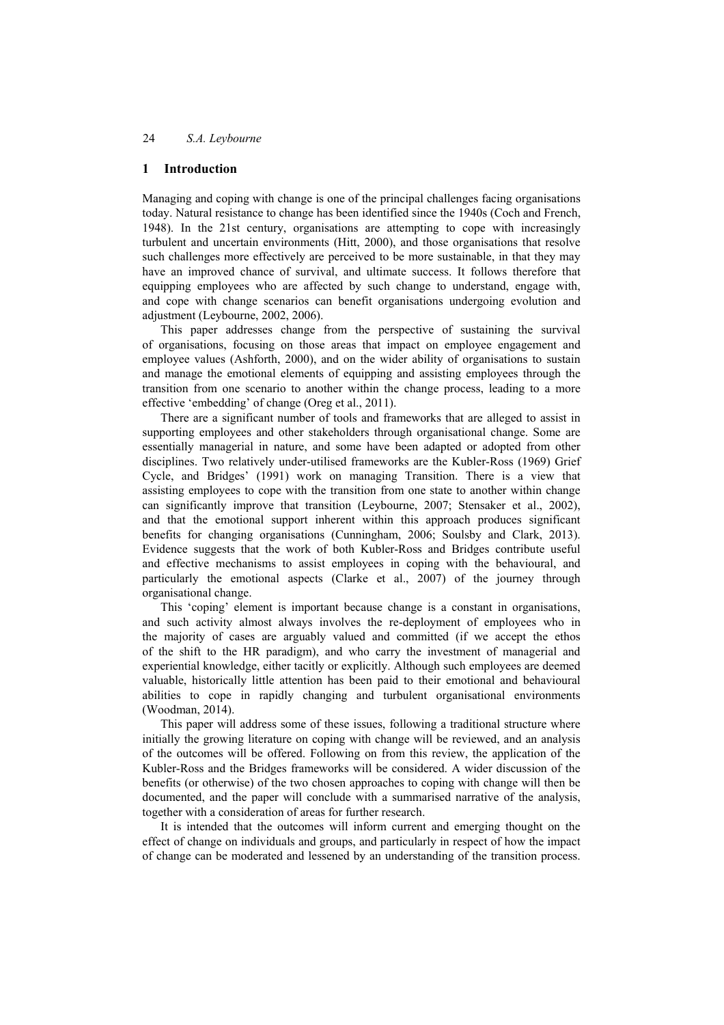#### **1 Introduction**

Managing and coping with change is one of the principal challenges facing organisations today. Natural resistance to change has been identified since the 1940s (Coch and French, 1948). In the 21st century, organisations are attempting to cope with increasingly turbulent and uncertain environments (Hitt, 2000), and those organisations that resolve such challenges more effectively are perceived to be more sustainable, in that they may have an improved chance of survival, and ultimate success. It follows therefore that equipping employees who are affected by such change to understand, engage with, and cope with change scenarios can benefit organisations undergoing evolution and adjustment (Leybourne, 2002, 2006).

This paper addresses change from the perspective of sustaining the survival of organisations, focusing on those areas that impact on employee engagement and employee values (Ashforth, 2000), and on the wider ability of organisations to sustain and manage the emotional elements of equipping and assisting employees through the transition from one scenario to another within the change process, leading to a more effective 'embedding' of change (Oreg et al., 2011).

There are a significant number of tools and frameworks that are alleged to assist in supporting employees and other stakeholders through organisational change. Some are essentially managerial in nature, and some have been adapted or adopted from other disciplines. Two relatively under-utilised frameworks are the Kubler-Ross (1969) Grief Cycle, and Bridges' (1991) work on managing Transition. There is a view that assisting employees to cope with the transition from one state to another within change can significantly improve that transition (Leybourne, 2007; Stensaker et al., 2002), and that the emotional support inherent within this approach produces significant benefits for changing organisations (Cunningham, 2006; Soulsby and Clark, 2013). Evidence suggests that the work of both Kubler-Ross and Bridges contribute useful and effective mechanisms to assist employees in coping with the behavioural, and particularly the emotional aspects (Clarke et al., 2007) of the journey through organisational change.

This 'coping' element is important because change is a constant in organisations, and such activity almost always involves the re-deployment of employees who in the majority of cases are arguably valued and committed (if we accept the ethos of the shift to the HR paradigm), and who carry the investment of managerial and experiential knowledge, either tacitly or explicitly. Although such employees are deemed valuable, historically little attention has been paid to their emotional and behavioural abilities to cope in rapidly changing and turbulent organisational environments (Woodman, 2014).

This paper will address some of these issues, following a traditional structure where initially the growing literature on coping with change will be reviewed, and an analysis of the outcomes will be offered. Following on from this review, the application of the Kubler-Ross and the Bridges frameworks will be considered. A wider discussion of the benefits (or otherwise) of the two chosen approaches to coping with change will then be documented, and the paper will conclude with a summarised narrative of the analysis, together with a consideration of areas for further research.

It is intended that the outcomes will inform current and emerging thought on the effect of change on individuals and groups, and particularly in respect of how the impact of change can be moderated and lessened by an understanding of the transition process.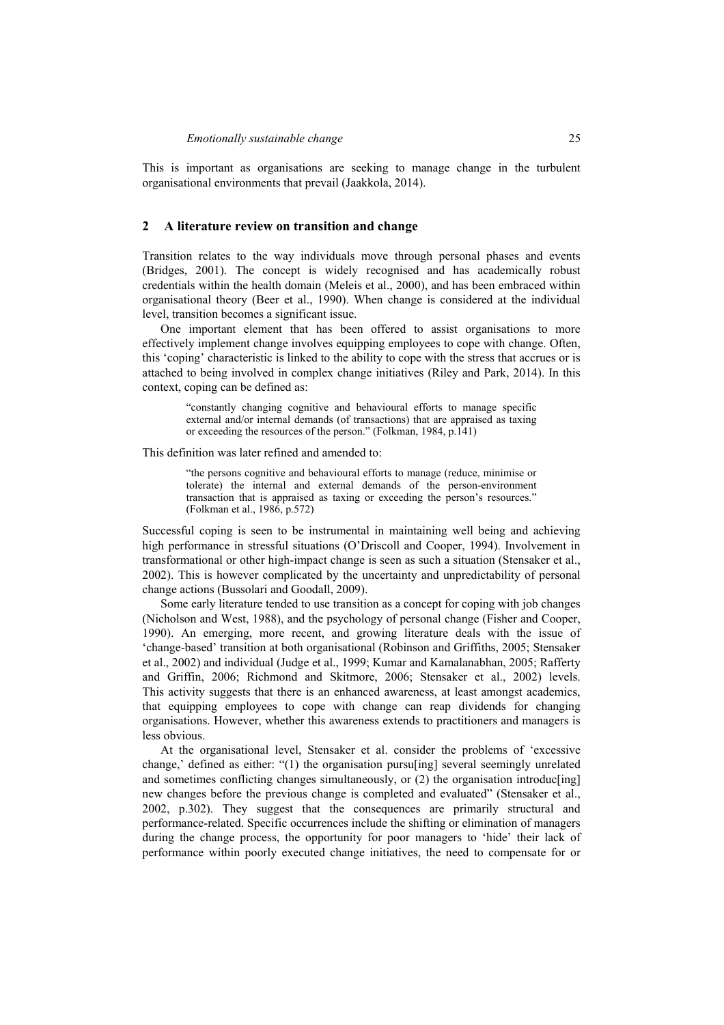This is important as organisations are seeking to manage change in the turbulent organisational environments that prevail (Jaakkola, 2014).

#### **2 A literature review on transition and change**

Transition relates to the way individuals move through personal phases and events (Bridges, 2001). The concept is widely recognised and has academically robust credentials within the health domain (Meleis et al., 2000), and has been embraced within organisational theory (Beer et al., 1990). When change is considered at the individual level, transition becomes a significant issue.

One important element that has been offered to assist organisations to more effectively implement change involves equipping employees to cope with change. Often, this 'coping' characteristic is linked to the ability to cope with the stress that accrues or is attached to being involved in complex change initiatives (Riley and Park, 2014). In this context, coping can be defined as:

> "constantly changing cognitive and behavioural efforts to manage specific external and/or internal demands (of transactions) that are appraised as taxing or exceeding the resources of the person." (Folkman, 1984, p.141)

This definition was later refined and amended to:

"the persons cognitive and behavioural efforts to manage (reduce, minimise or tolerate) the internal and external demands of the person-environment transaction that is appraised as taxing or exceeding the person's resources." (Folkman et al., 1986, p.572)

Successful coping is seen to be instrumental in maintaining well being and achieving high performance in stressful situations (O'Driscoll and Cooper, 1994). Involvement in transformational or other high-impact change is seen as such a situation (Stensaker et al., 2002). This is however complicated by the uncertainty and unpredictability of personal change actions (Bussolari and Goodall, 2009).

Some early literature tended to use transition as a concept for coping with job changes (Nicholson and West, 1988), and the psychology of personal change (Fisher and Cooper, 1990). An emerging, more recent, and growing literature deals with the issue of 'change-based' transition at both organisational (Robinson and Griffiths, 2005; Stensaker et al., 2002) and individual (Judge et al., 1999; Kumar and Kamalanabhan, 2005; Rafferty and Griffin, 2006; Richmond and Skitmore, 2006; Stensaker et al., 2002) levels. This activity suggests that there is an enhanced awareness, at least amongst academics, that equipping employees to cope with change can reap dividends for changing organisations. However, whether this awareness extends to practitioners and managers is less obvious.

At the organisational level, Stensaker et al. consider the problems of 'excessive change,' defined as either: "(1) the organisation pursu[ing] several seemingly unrelated and sometimes conflicting changes simultaneously, or (2) the organisation introducting new changes before the previous change is completed and evaluated" (Stensaker et al., 2002, p.302). They suggest that the consequences are primarily structural and performance-related. Specific occurrences include the shifting or elimination of managers during the change process, the opportunity for poor managers to 'hide' their lack of performance within poorly executed change initiatives, the need to compensate for or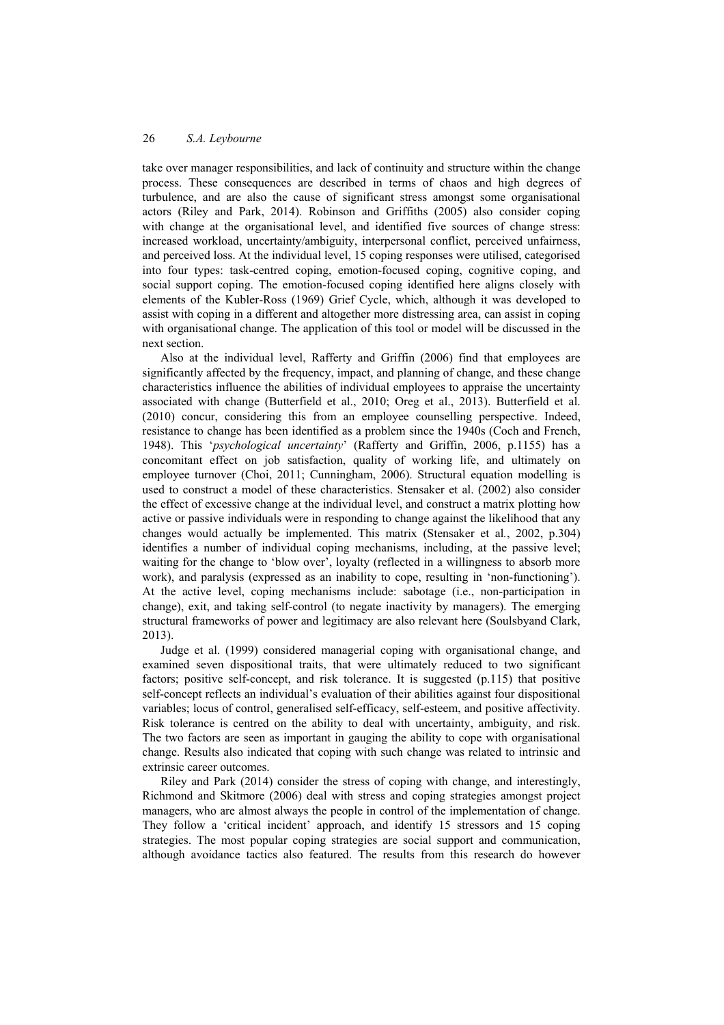take over manager responsibilities, and lack of continuity and structure within the change process. These consequences are described in terms of chaos and high degrees of turbulence, and are also the cause of significant stress amongst some organisational actors (Riley and Park, 2014). Robinson and Griffiths (2005) also consider coping with change at the organisational level, and identified five sources of change stress: increased workload, uncertainty/ambiguity, interpersonal conflict, perceived unfairness, and perceived loss. At the individual level, 15 coping responses were utilised, categorised into four types: task-centred coping, emotion-focused coping, cognitive coping, and social support coping. The emotion-focused coping identified here aligns closely with elements of the Kubler-Ross (1969) Grief Cycle, which, although it was developed to assist with coping in a different and altogether more distressing area, can assist in coping with organisational change. The application of this tool or model will be discussed in the next section.

Also at the individual level, Rafferty and Griffin (2006) find that employees are significantly affected by the frequency, impact, and planning of change, and these change characteristics influence the abilities of individual employees to appraise the uncertainty associated with change (Butterfield et al., 2010; Oreg et al., 2013). Butterfield et al. (2010) concur, considering this from an employee counselling perspective. Indeed, resistance to change has been identified as a problem since the 1940s (Coch and French, 1948). This '*psychological uncertainty*' (Rafferty and Griffin, 2006, p.1155) has a concomitant effect on job satisfaction, quality of working life, and ultimately on employee turnover (Choi, 2011; Cunningham, 2006). Structural equation modelling is used to construct a model of these characteristics. Stensaker et al. (2002) also consider the effect of excessive change at the individual level, and construct a matrix plotting how active or passive individuals were in responding to change against the likelihood that any changes would actually be implemented. This matrix (Stensaker et al*.*, 2002, p.304) identifies a number of individual coping mechanisms, including, at the passive level; waiting for the change to 'blow over', loyalty (reflected in a willingness to absorb more work), and paralysis (expressed as an inability to cope, resulting in 'non-functioning'). At the active level, coping mechanisms include: sabotage (i.e., non-participation in change), exit, and taking self-control (to negate inactivity by managers). The emerging structural frameworks of power and legitimacy are also relevant here (Soulsbyand Clark, 2013).

Judge et al. (1999) considered managerial coping with organisational change, and examined seven dispositional traits, that were ultimately reduced to two significant factors; positive self-concept, and risk tolerance. It is suggested (p.115) that positive self-concept reflects an individual's evaluation of their abilities against four dispositional variables; locus of control, generalised self-efficacy, self-esteem, and positive affectivity. Risk tolerance is centred on the ability to deal with uncertainty, ambiguity, and risk. The two factors are seen as important in gauging the ability to cope with organisational change. Results also indicated that coping with such change was related to intrinsic and extrinsic career outcomes.

Riley and Park (2014) consider the stress of coping with change, and interestingly, Richmond and Skitmore (2006) deal with stress and coping strategies amongst project managers, who are almost always the people in control of the implementation of change. They follow a 'critical incident' approach, and identify 15 stressors and 15 coping strategies. The most popular coping strategies are social support and communication, although avoidance tactics also featured. The results from this research do however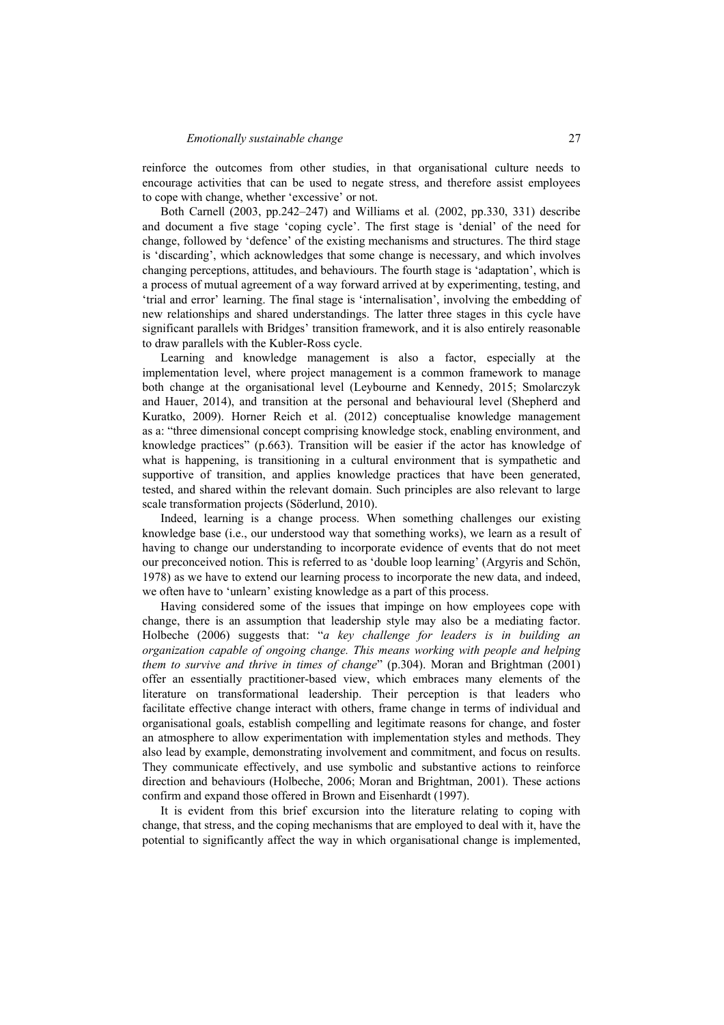reinforce the outcomes from other studies, in that organisational culture needs to encourage activities that can be used to negate stress, and therefore assist employees to cope with change, whether 'excessive' or not.

Both Carnell (2003, pp.242–247) and Williams et al*.* (2002, pp.330, 331) describe and document a five stage 'coping cycle'. The first stage is 'denial' of the need for change, followed by 'defence' of the existing mechanisms and structures. The third stage is 'discarding', which acknowledges that some change is necessary, and which involves changing perceptions, attitudes, and behaviours. The fourth stage is 'adaptation', which is a process of mutual agreement of a way forward arrived at by experimenting, testing, and 'trial and error' learning. The final stage is 'internalisation', involving the embedding of new relationships and shared understandings. The latter three stages in this cycle have significant parallels with Bridges' transition framework, and it is also entirely reasonable to draw parallels with the Kubler-Ross cycle.

Learning and knowledge management is also a factor, especially at the implementation level, where project management is a common framework to manage both change at the organisational level (Leybourne and Kennedy, 2015; Smolarczyk and Hauer, 2014), and transition at the personal and behavioural level (Shepherd and Kuratko, 2009). Horner Reich et al. (2012) conceptualise knowledge management as a: "three dimensional concept comprising knowledge stock, enabling environment, and knowledge practices" (p.663). Transition will be easier if the actor has knowledge of what is happening, is transitioning in a cultural environment that is sympathetic and supportive of transition, and applies knowledge practices that have been generated, tested, and shared within the relevant domain. Such principles are also relevant to large scale transformation projects (Söderlund, 2010).

Indeed, learning is a change process. When something challenges our existing knowledge base (i.e., our understood way that something works), we learn as a result of having to change our understanding to incorporate evidence of events that do not meet our preconceived notion. This is referred to as 'double loop learning' (Argyris and Schön, 1978) as we have to extend our learning process to incorporate the new data, and indeed, we often have to 'unlearn' existing knowledge as a part of this process.

Having considered some of the issues that impinge on how employees cope with change, there is an assumption that leadership style may also be a mediating factor. Holbeche (2006) suggests that: "*a key challenge for leaders is in building an organization capable of ongoing change. This means working with people and helping them to survive and thrive in times of change*" (p.304). Moran and Brightman (2001) offer an essentially practitioner-based view, which embraces many elements of the literature on transformational leadership. Their perception is that leaders who facilitate effective change interact with others, frame change in terms of individual and organisational goals, establish compelling and legitimate reasons for change, and foster an atmosphere to allow experimentation with implementation styles and methods. They also lead by example, demonstrating involvement and commitment, and focus on results. They communicate effectively, and use symbolic and substantive actions to reinforce direction and behaviours (Holbeche, 2006; Moran and Brightman, 2001). These actions confirm and expand those offered in Brown and Eisenhardt (1997).

It is evident from this brief excursion into the literature relating to coping with change, that stress, and the coping mechanisms that are employed to deal with it, have the potential to significantly affect the way in which organisational change is implemented,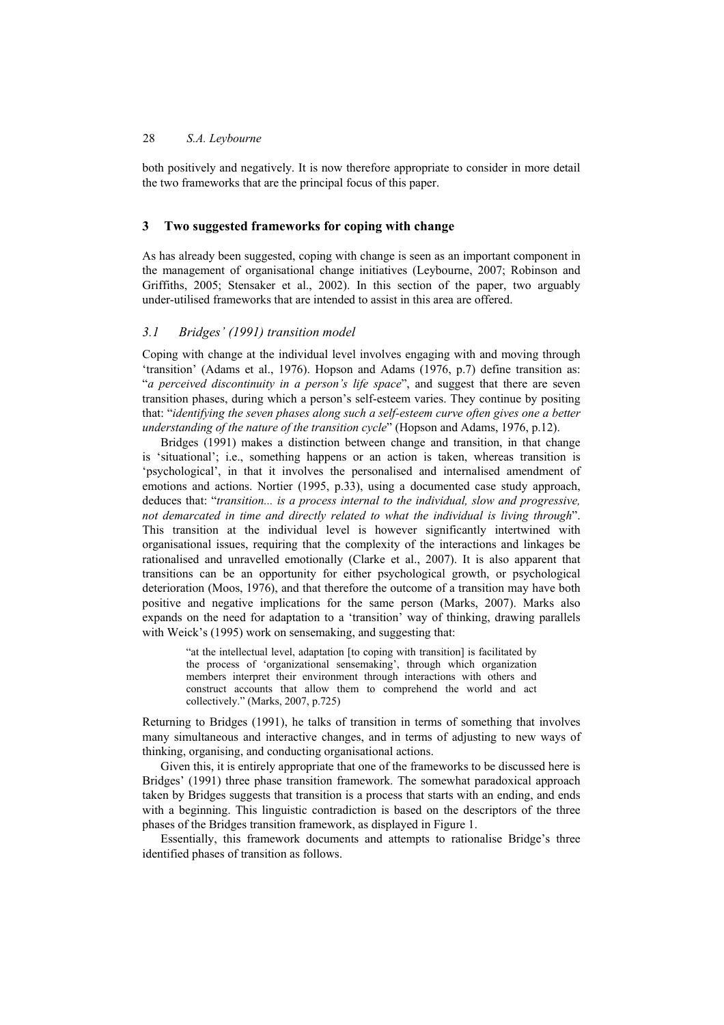both positively and negatively. It is now therefore appropriate to consider in more detail the two frameworks that are the principal focus of this paper.

#### **3 Two suggested frameworks for coping with change**

As has already been suggested, coping with change is seen as an important component in the management of organisational change initiatives (Leybourne, 2007; Robinson and Griffiths, 2005; Stensaker et al., 2002). In this section of the paper, two arguably under-utilised frameworks that are intended to assist in this area are offered.

#### *3.1 Bridges' (1991) transition model*

Coping with change at the individual level involves engaging with and moving through 'transition' (Adams et al., 1976). Hopson and Adams (1976, p.7) define transition as: "*a perceived discontinuity in a person's life space*", and suggest that there are seven transition phases, during which a person's self-esteem varies. They continue by positing that: "*identifying the seven phases along such a self-esteem curve often gives one a better understanding of the nature of the transition cycle*" (Hopson and Adams, 1976, p.12).

Bridges (1991) makes a distinction between change and transition, in that change is 'situational'; i.e., something happens or an action is taken, whereas transition is 'psychological', in that it involves the personalised and internalised amendment of emotions and actions. Nortier (1995, p.33), using a documented case study approach, deduces that: "*transition... is a process internal to the individual, slow and progressive, not demarcated in time and directly related to what the individual is living through*". This transition at the individual level is however significantly intertwined with organisational issues, requiring that the complexity of the interactions and linkages be rationalised and unravelled emotionally (Clarke et al., 2007). It is also apparent that transitions can be an opportunity for either psychological growth, or psychological deterioration (Moos, 1976), and that therefore the outcome of a transition may have both positive and negative implications for the same person (Marks, 2007). Marks also expands on the need for adaptation to a 'transition' way of thinking, drawing parallels with Weick's (1995) work on sensemaking, and suggesting that:

"at the intellectual level, adaptation [to coping with transition] is facilitated by the process of 'organizational sensemaking', through which organization members interpret their environment through interactions with others and construct accounts that allow them to comprehend the world and act collectively." (Marks, 2007, p.725)

Returning to Bridges (1991), he talks of transition in terms of something that involves many simultaneous and interactive changes, and in terms of adjusting to new ways of thinking, organising, and conducting organisational actions.

Given this, it is entirely appropriate that one of the frameworks to be discussed here is Bridges' (1991) three phase transition framework. The somewhat paradoxical approach taken by Bridges suggests that transition is a process that starts with an ending, and ends with a beginning. This linguistic contradiction is based on the descriptors of the three phases of the Bridges transition framework, as displayed in Figure 1.

Essentially, this framework documents and attempts to rationalise Bridge's three identified phases of transition as follows.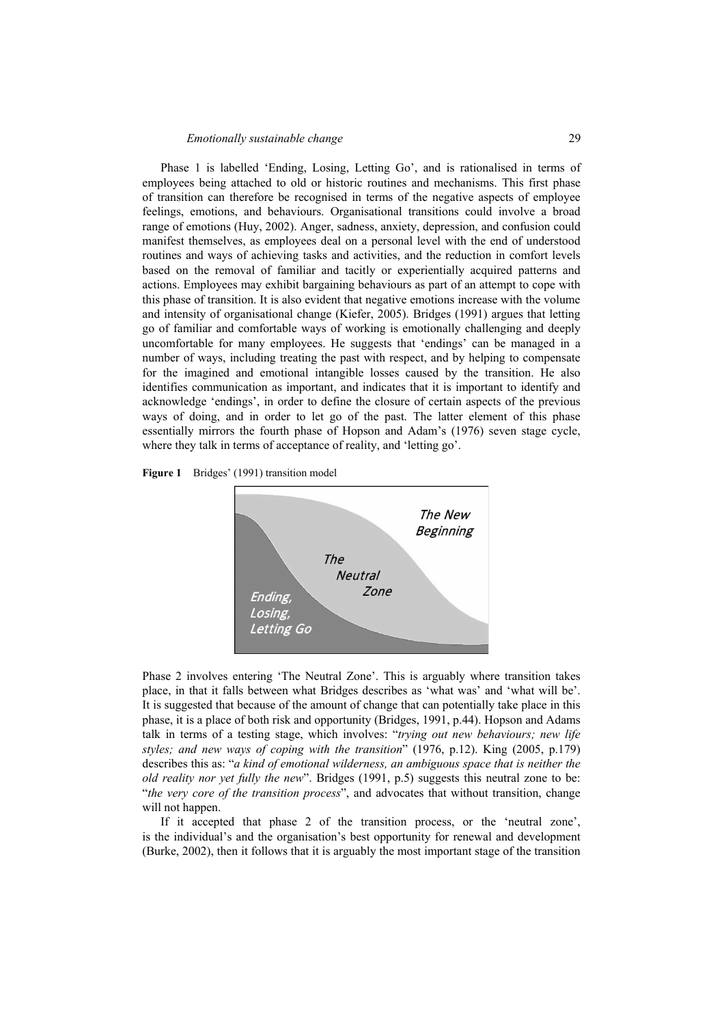Phase 1 is labelled 'Ending, Losing, Letting Go', and is rationalised in terms of employees being attached to old or historic routines and mechanisms. This first phase of transition can therefore be recognised in terms of the negative aspects of employee feelings, emotions, and behaviours. Organisational transitions could involve a broad range of emotions (Huy, 2002). Anger, sadness, anxiety, depression, and confusion could manifest themselves, as employees deal on a personal level with the end of understood routines and ways of achieving tasks and activities, and the reduction in comfort levels based on the removal of familiar and tacitly or experientially acquired patterns and actions. Employees may exhibit bargaining behaviours as part of an attempt to cope with this phase of transition. It is also evident that negative emotions increase with the volume and intensity of organisational change (Kiefer, 2005). Bridges (1991) argues that letting go of familiar and comfortable ways of working is emotionally challenging and deeply uncomfortable for many employees. He suggests that 'endings' can be managed in a number of ways, including treating the past with respect, and by helping to compensate for the imagined and emotional intangible losses caused by the transition. He also identifies communication as important, and indicates that it is important to identify and acknowledge 'endings', in order to define the closure of certain aspects of the previous ways of doing, and in order to let go of the past. The latter element of this phase essentially mirrors the fourth phase of Hopson and Adam's (1976) seven stage cycle, where they talk in terms of acceptance of reality, and 'letting go'.





Phase 2 involves entering 'The Neutral Zone'. This is arguably where transition takes place, in that it falls between what Bridges describes as 'what was' and 'what will be'. It is suggested that because of the amount of change that can potentially take place in this phase, it is a place of both risk and opportunity (Bridges, 1991, p.44). Hopson and Adams talk in terms of a testing stage, which involves: "*trying out new behaviours; new life styles; and new ways of coping with the transition*" (1976, p.12). King (2005, p.179) describes this as: "*a kind of emotional wilderness, an ambiguous space that is neither the old reality nor yet fully the new*". Bridges (1991, p.5) suggests this neutral zone to be: "*the very core of the transition process*", and advocates that without transition, change will not happen.

If it accepted that phase 2 of the transition process, or the 'neutral zone', is the individual's and the organisation's best opportunity for renewal and development (Burke, 2002), then it follows that it is arguably the most important stage of the transition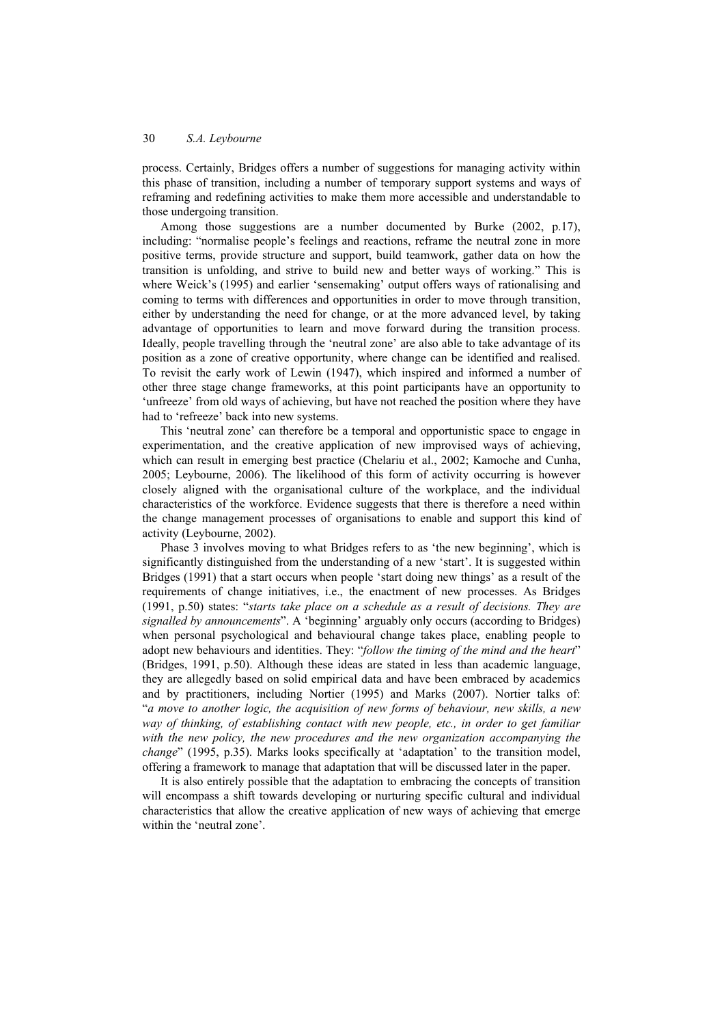process. Certainly, Bridges offers a number of suggestions for managing activity within this phase of transition, including a number of temporary support systems and ways of reframing and redefining activities to make them more accessible and understandable to those undergoing transition.

Among those suggestions are a number documented by Burke (2002, p.17), including: "normalise people's feelings and reactions, reframe the neutral zone in more positive terms, provide structure and support, build teamwork, gather data on how the transition is unfolding, and strive to build new and better ways of working." This is where Weick's (1995) and earlier 'sensemaking' output offers ways of rationalising and coming to terms with differences and opportunities in order to move through transition, either by understanding the need for change, or at the more advanced level, by taking advantage of opportunities to learn and move forward during the transition process. Ideally, people travelling through the 'neutral zone' are also able to take advantage of its position as a zone of creative opportunity, where change can be identified and realised. To revisit the early work of Lewin (1947), which inspired and informed a number of other three stage change frameworks, at this point participants have an opportunity to 'unfreeze' from old ways of achieving, but have not reached the position where they have had to 'refreeze' back into new systems.

This 'neutral zone' can therefore be a temporal and opportunistic space to engage in experimentation, and the creative application of new improvised ways of achieving, which can result in emerging best practice (Chelariu et al., 2002; Kamoche and Cunha, 2005; Leybourne, 2006). The likelihood of this form of activity occurring is however closely aligned with the organisational culture of the workplace, and the individual characteristics of the workforce. Evidence suggests that there is therefore a need within the change management processes of organisations to enable and support this kind of activity (Leybourne, 2002).

Phase 3 involves moving to what Bridges refers to as 'the new beginning', which is significantly distinguished from the understanding of a new 'start'. It is suggested within Bridges (1991) that a start occurs when people 'start doing new things' as a result of the requirements of change initiatives, i.e., the enactment of new processes. As Bridges (1991, p.50) states: "*starts take place on a schedule as a result of decisions. They are signalled by announcements*". A 'beginning' arguably only occurs (according to Bridges) when personal psychological and behavioural change takes place, enabling people to adopt new behaviours and identities. They: "*follow the timing of the mind and the heart*" (Bridges, 1991, p.50). Although these ideas are stated in less than academic language, they are allegedly based on solid empirical data and have been embraced by academics and by practitioners, including Nortier (1995) and Marks (2007). Nortier talks of: "*a move to another logic, the acquisition of new forms of behaviour, new skills, a new way of thinking, of establishing contact with new people, etc., in order to get familiar*  with the new policy, the new procedures and the new organization accompanying the *change*" (1995, p.35). Marks looks specifically at 'adaptation' to the transition model, offering a framework to manage that adaptation that will be discussed later in the paper.

It is also entirely possible that the adaptation to embracing the concepts of transition will encompass a shift towards developing or nurturing specific cultural and individual characteristics that allow the creative application of new ways of achieving that emerge within the 'neutral zone'.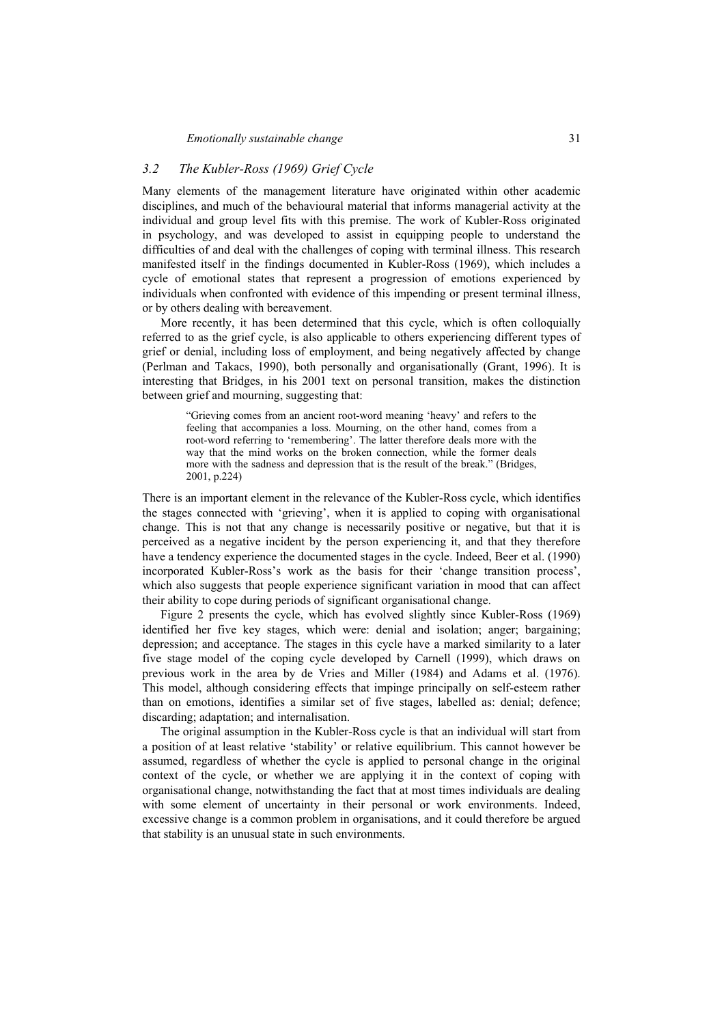# *3.2 The Kubler-Ross (1969) Grief Cycle*

Many elements of the management literature have originated within other academic disciplines, and much of the behavioural material that informs managerial activity at the individual and group level fits with this premise. The work of Kubler-Ross originated in psychology, and was developed to assist in equipping people to understand the difficulties of and deal with the challenges of coping with terminal illness. This research manifested itself in the findings documented in Kubler-Ross (1969), which includes a cycle of emotional states that represent a progression of emotions experienced by individuals when confronted with evidence of this impending or present terminal illness, or by others dealing with bereavement.

More recently, it has been determined that this cycle, which is often colloquially referred to as the grief cycle, is also applicable to others experiencing different types of grief or denial, including loss of employment, and being negatively affected by change (Perlman and Takacs, 1990), both personally and organisationally (Grant, 1996). It is interesting that Bridges, in his 2001 text on personal transition, makes the distinction between grief and mourning, suggesting that:

> "Grieving comes from an ancient root-word meaning 'heavy' and refers to the feeling that accompanies a loss. Mourning, on the other hand, comes from a root-word referring to 'remembering'. The latter therefore deals more with the way that the mind works on the broken connection, while the former deals more with the sadness and depression that is the result of the break." (Bridges, 2001, p.224)

There is an important element in the relevance of the Kubler-Ross cycle, which identifies the stages connected with 'grieving', when it is applied to coping with organisational change. This is not that any change is necessarily positive or negative, but that it is perceived as a negative incident by the person experiencing it, and that they therefore have a tendency experience the documented stages in the cycle. Indeed, Beer et al. (1990) incorporated Kubler-Ross's work as the basis for their 'change transition process', which also suggests that people experience significant variation in mood that can affect their ability to cope during periods of significant organisational change.

Figure 2 presents the cycle, which has evolved slightly since Kubler-Ross (1969) identified her five key stages, which were: denial and isolation; anger; bargaining; depression; and acceptance. The stages in this cycle have a marked similarity to a later five stage model of the coping cycle developed by Carnell (1999), which draws on previous work in the area by de Vries and Miller (1984) and Adams et al. (1976). This model, although considering effects that impinge principally on self-esteem rather than on emotions, identifies a similar set of five stages, labelled as: denial; defence; discarding; adaptation; and internalisation.

The original assumption in the Kubler-Ross cycle is that an individual will start from a position of at least relative 'stability' or relative equilibrium. This cannot however be assumed, regardless of whether the cycle is applied to personal change in the original context of the cycle, or whether we are applying it in the context of coping with organisational change, notwithstanding the fact that at most times individuals are dealing with some element of uncertainty in their personal or work environments. Indeed, excessive change is a common problem in organisations, and it could therefore be argued that stability is an unusual state in such environments.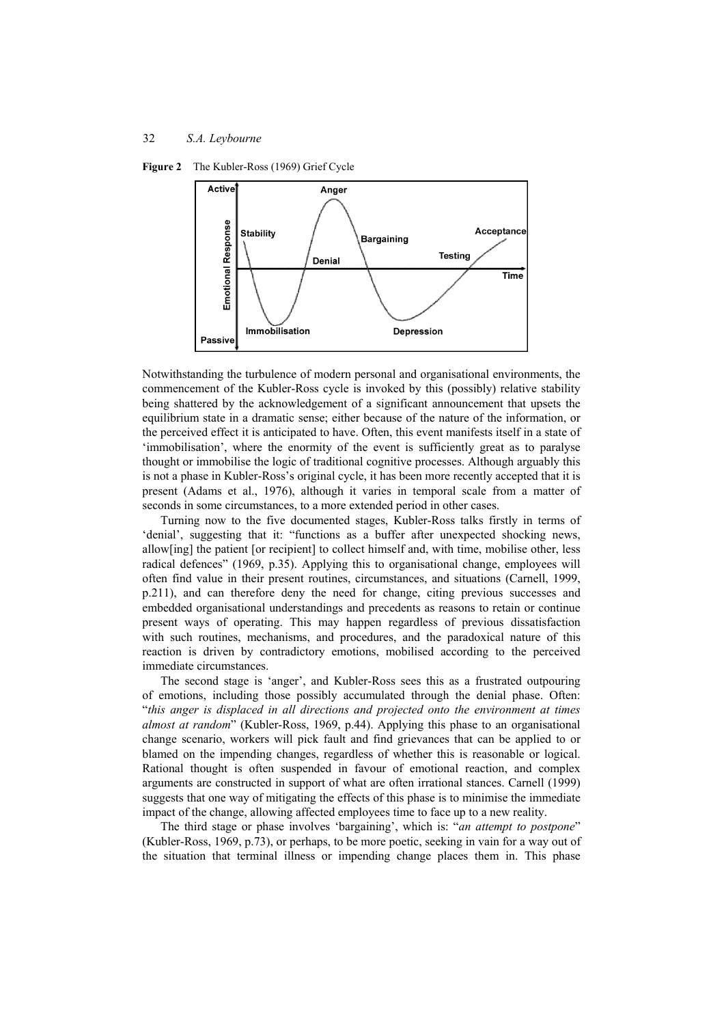



Notwithstanding the turbulence of modern personal and organisational environments, the commencement of the Kubler-Ross cycle is invoked by this (possibly) relative stability being shattered by the acknowledgement of a significant announcement that upsets the equilibrium state in a dramatic sense; either because of the nature of the information, or the perceived effect it is anticipated to have. Often, this event manifests itself in a state of 'immobilisation', where the enormity of the event is sufficiently great as to paralyse thought or immobilise the logic of traditional cognitive processes. Although arguably this is not a phase in Kubler-Ross's original cycle, it has been more recently accepted that it is present (Adams et al., 1976), although it varies in temporal scale from a matter of seconds in some circumstances, to a more extended period in other cases.

Turning now to the five documented stages, Kubler-Ross talks firstly in terms of 'denial', suggesting that it: "functions as a buffer after unexpected shocking news, allow[ing] the patient [or recipient] to collect himself and, with time, mobilise other, less radical defences" (1969, p.35). Applying this to organisational change, employees will often find value in their present routines, circumstances, and situations (Carnell, 1999, p.211), and can therefore deny the need for change, citing previous successes and embedded organisational understandings and precedents as reasons to retain or continue present ways of operating. This may happen regardless of previous dissatisfaction with such routines, mechanisms, and procedures, and the paradoxical nature of this reaction is driven by contradictory emotions, mobilised according to the perceived immediate circumstances.

The second stage is 'anger', and Kubler-Ross sees this as a frustrated outpouring of emotions, including those possibly accumulated through the denial phase. Often: "*this anger is displaced in all directions and projected onto the environment at times almost at random*" (Kubler-Ross, 1969, p.44). Applying this phase to an organisational change scenario, workers will pick fault and find grievances that can be applied to or blamed on the impending changes, regardless of whether this is reasonable or logical. Rational thought is often suspended in favour of emotional reaction, and complex arguments are constructed in support of what are often irrational stances. Carnell (1999) suggests that one way of mitigating the effects of this phase is to minimise the immediate impact of the change, allowing affected employees time to face up to a new reality.

The third stage or phase involves 'bargaining', which is: "*an attempt to postpone*" (Kubler-Ross, 1969, p.73), or perhaps, to be more poetic, seeking in vain for a way out of the situation that terminal illness or impending change places them in. This phase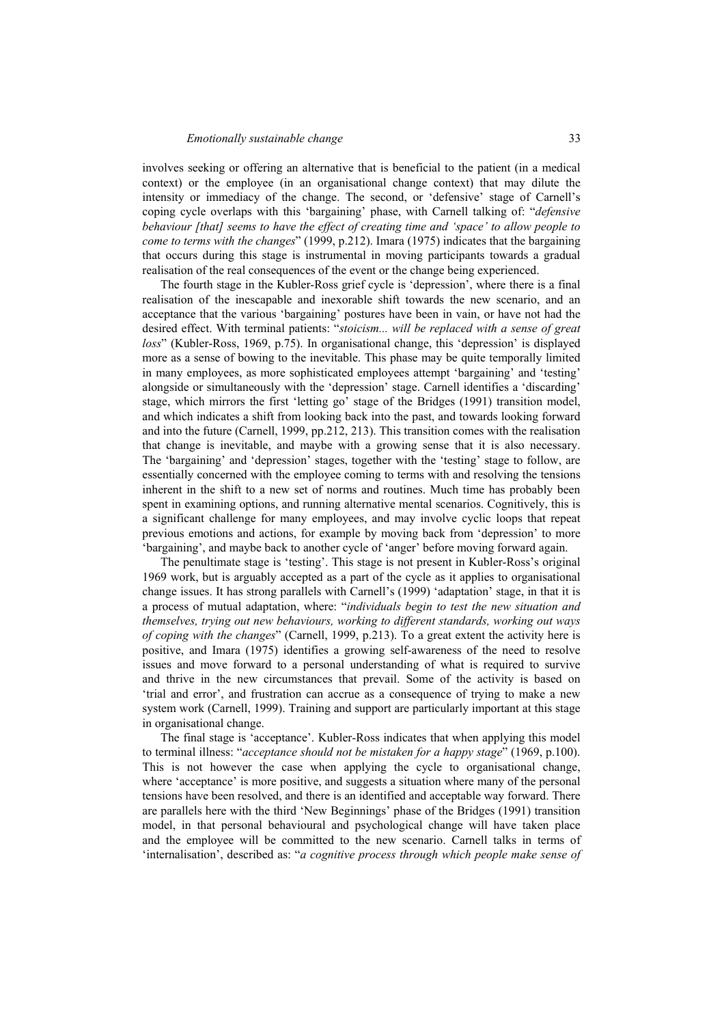involves seeking or offering an alternative that is beneficial to the patient (in a medical context) or the employee (in an organisational change context) that may dilute the intensity or immediacy of the change. The second, or 'defensive' stage of Carnell's coping cycle overlaps with this 'bargaining' phase, with Carnell talking of: "*defensive behaviour [that] seems to have the effect of creating time and 'space' to allow people to come to terms with the changes*" (1999, p.212). Imara (1975) indicates that the bargaining that occurs during this stage is instrumental in moving participants towards a gradual realisation of the real consequences of the event or the change being experienced.

The fourth stage in the Kubler-Ross grief cycle is 'depression', where there is a final realisation of the inescapable and inexorable shift towards the new scenario, and an acceptance that the various 'bargaining' postures have been in vain, or have not had the desired effect. With terminal patients: "*stoicism... will be replaced with a sense of great loss*" (Kubler-Ross, 1969, p.75). In organisational change, this 'depression' is displayed more as a sense of bowing to the inevitable. This phase may be quite temporally limited in many employees, as more sophisticated employees attempt 'bargaining' and 'testing' alongside or simultaneously with the 'depression' stage. Carnell identifies a 'discarding' stage, which mirrors the first 'letting go' stage of the Bridges (1991) transition model, and which indicates a shift from looking back into the past, and towards looking forward and into the future (Carnell, 1999, pp.212, 213). This transition comes with the realisation that change is inevitable, and maybe with a growing sense that it is also necessary. The 'bargaining' and 'depression' stages, together with the 'testing' stage to follow, are essentially concerned with the employee coming to terms with and resolving the tensions inherent in the shift to a new set of norms and routines. Much time has probably been spent in examining options, and running alternative mental scenarios. Cognitively, this is a significant challenge for many employees, and may involve cyclic loops that repeat previous emotions and actions, for example by moving back from 'depression' to more 'bargaining', and maybe back to another cycle of 'anger' before moving forward again.

The penultimate stage is 'testing'. This stage is not present in Kubler-Ross's original 1969 work, but is arguably accepted as a part of the cycle as it applies to organisational change issues. It has strong parallels with Carnell's (1999) 'adaptation' stage, in that it is a process of mutual adaptation, where: "*individuals begin to test the new situation and themselves, trying out new behaviours, working to different standards, working out ways of coping with the changes*" (Carnell, 1999, p.213). To a great extent the activity here is positive, and Imara (1975) identifies a growing self-awareness of the need to resolve issues and move forward to a personal understanding of what is required to survive and thrive in the new circumstances that prevail. Some of the activity is based on 'trial and error', and frustration can accrue as a consequence of trying to make a new system work (Carnell, 1999). Training and support are particularly important at this stage in organisational change.

The final stage is 'acceptance'. Kubler-Ross indicates that when applying this model to terminal illness: "*acceptance should not be mistaken for a happy stage*" (1969, p.100). This is not however the case when applying the cycle to organisational change, where 'acceptance' is more positive, and suggests a situation where many of the personal tensions have been resolved, and there is an identified and acceptable way forward. There are parallels here with the third 'New Beginnings' phase of the Bridges (1991) transition model, in that personal behavioural and psychological change will have taken place and the employee will be committed to the new scenario. Carnell talks in terms of 'internalisation', described as: "*a cognitive process through which people make sense of*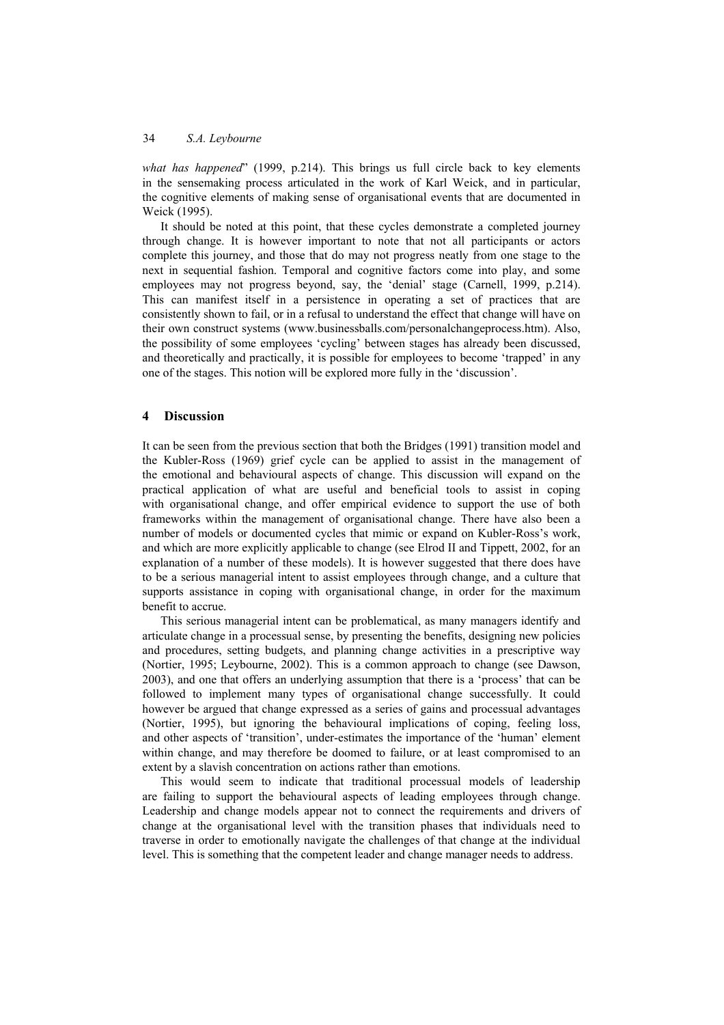*what has happened*" (1999, p.214). This brings us full circle back to key elements in the sensemaking process articulated in the work of Karl Weick, and in particular, the cognitive elements of making sense of organisational events that are documented in Weick (1995).

It should be noted at this point, that these cycles demonstrate a completed journey through change. It is however important to note that not all participants or actors complete this journey, and those that do may not progress neatly from one stage to the next in sequential fashion. Temporal and cognitive factors come into play, and some employees may not progress beyond, say, the 'denial' stage (Carnell, 1999, p.214). This can manifest itself in a persistence in operating a set of practices that are consistently shown to fail, or in a refusal to understand the effect that change will have on their own construct systems (www.businessballs.com/personalchangeprocess.htm). Also, the possibility of some employees 'cycling' between stages has already been discussed, and theoretically and practically, it is possible for employees to become 'trapped' in any one of the stages. This notion will be explored more fully in the 'discussion'.

#### **4 Discussion**

It can be seen from the previous section that both the Bridges (1991) transition model and the Kubler-Ross (1969) grief cycle can be applied to assist in the management of the emotional and behavioural aspects of change. This discussion will expand on the practical application of what are useful and beneficial tools to assist in coping with organisational change, and offer empirical evidence to support the use of both frameworks within the management of organisational change. There have also been a number of models or documented cycles that mimic or expand on Kubler-Ross's work, and which are more explicitly applicable to change (see Elrod II and Tippett, 2002, for an explanation of a number of these models). It is however suggested that there does have to be a serious managerial intent to assist employees through change, and a culture that supports assistance in coping with organisational change, in order for the maximum benefit to accrue.

This serious managerial intent can be problematical, as many managers identify and articulate change in a processual sense, by presenting the benefits, designing new policies and procedures, setting budgets, and planning change activities in a prescriptive way (Nortier, 1995; Leybourne, 2002). This is a common approach to change (see Dawson, 2003), and one that offers an underlying assumption that there is a 'process' that can be followed to implement many types of organisational change successfully. It could however be argued that change expressed as a series of gains and processual advantages (Nortier, 1995), but ignoring the behavioural implications of coping, feeling loss, and other aspects of 'transition', under-estimates the importance of the 'human' element within change, and may therefore be doomed to failure, or at least compromised to an extent by a slavish concentration on actions rather than emotions.

This would seem to indicate that traditional processual models of leadership are failing to support the behavioural aspects of leading employees through change. Leadership and change models appear not to connect the requirements and drivers of change at the organisational level with the transition phases that individuals need to traverse in order to emotionally navigate the challenges of that change at the individual level. This is something that the competent leader and change manager needs to address.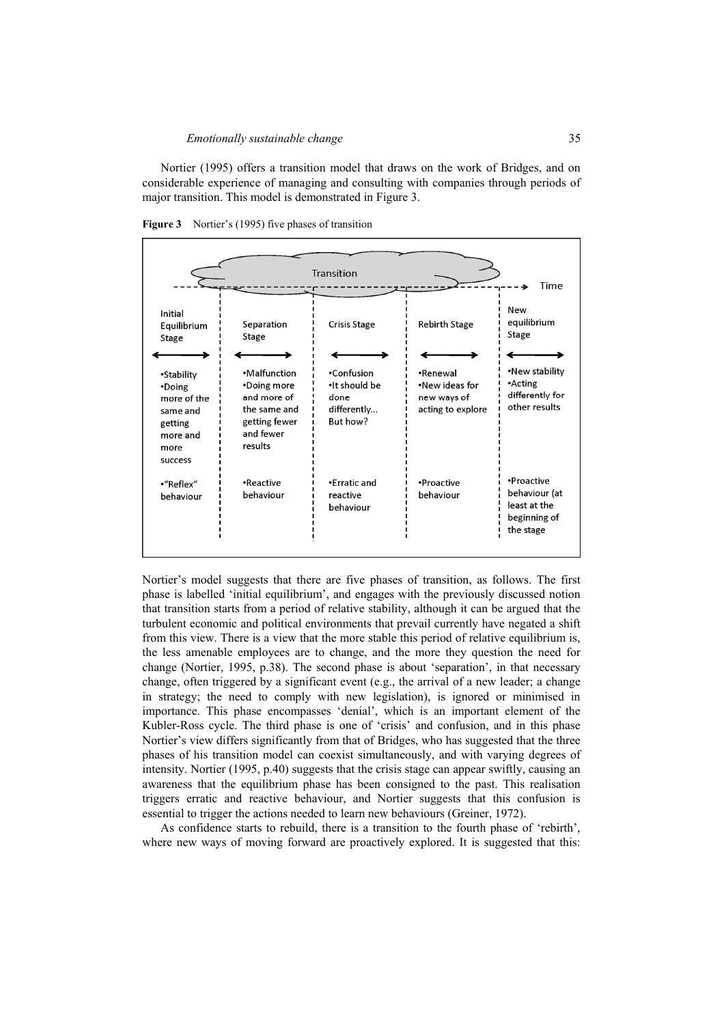Nortier (1995) offers a transition model that draws on the work of Bridges, and on considerable experience of managing and consulting with companies through periods of major transition. This model is demonstrated in Figure 3.



**Figure 3** Nortier's (1995) five phases of transition

Nortier's model suggests that there are five phases of transition, as follows. The first phase is labelled 'initial equilibrium', and engages with the previously discussed notion that transition starts from a period of relative stability, although it can be argued that the turbulent economic and political environments that prevail currently have negated a shift from this view. There is a view that the more stable this period of relative equilibrium is, the less amenable employees are to change, and the more they question the need for change (Nortier, 1995, p.38). The second phase is about 'separation', in that necessary change, often triggered by a significant event (e.g., the arrival of a new leader; a change in strategy; the need to comply with new legislation), is ignored or minimised in importance. This phase encompasses 'denial', which is an important element of the Kubler-Ross cycle. The third phase is one of 'crisis' and confusion, and in this phase Nortier's view differs significantly from that of Bridges, who has suggested that the three phases of his transition model can coexist simultaneously, and with varying degrees of intensity. Nortier (1995, p.40) suggests that the crisis stage can appear swiftly, causing an awareness that the equilibrium phase has been consigned to the past. This realisation triggers erratic and reactive behaviour, and Nortier suggests that this confusion is essential to trigger the actions needed to learn new behaviours (Greiner, 1972).

As confidence starts to rebuild, there is a transition to the fourth phase of 'rebirth', where new ways of moving forward are proactively explored. It is suggested that this: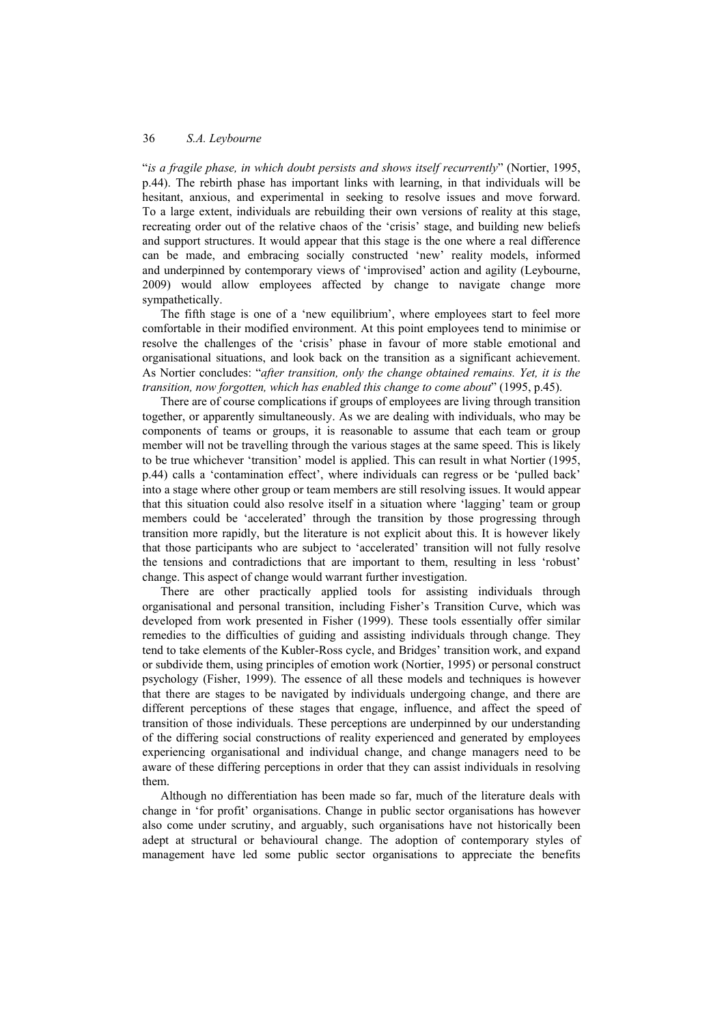"*is a fragile phase, in which doubt persists and shows itself recurrently*" (Nortier, 1995, p.44). The rebirth phase has important links with learning, in that individuals will be hesitant, anxious, and experimental in seeking to resolve issues and move forward. To a large extent, individuals are rebuilding their own versions of reality at this stage, recreating order out of the relative chaos of the 'crisis' stage, and building new beliefs and support structures. It would appear that this stage is the one where a real difference can be made, and embracing socially constructed 'new' reality models, informed and underpinned by contemporary views of 'improvised' action and agility (Leybourne, 2009) would allow employees affected by change to navigate change more sympathetically.

The fifth stage is one of a 'new equilibrium', where employees start to feel more comfortable in their modified environment. At this point employees tend to minimise or resolve the challenges of the 'crisis' phase in favour of more stable emotional and organisational situations, and look back on the transition as a significant achievement. As Nortier concludes: "*after transition, only the change obtained remains. Yet, it is the transition, now forgotten, which has enabled this change to come about*" (1995, p.45).

There are of course complications if groups of employees are living through transition together, or apparently simultaneously. As we are dealing with individuals, who may be components of teams or groups, it is reasonable to assume that each team or group member will not be travelling through the various stages at the same speed. This is likely to be true whichever 'transition' model is applied. This can result in what Nortier (1995, p.44) calls a 'contamination effect', where individuals can regress or be 'pulled back' into a stage where other group or team members are still resolving issues. It would appear that this situation could also resolve itself in a situation where 'lagging' team or group members could be 'accelerated' through the transition by those progressing through transition more rapidly, but the literature is not explicit about this. It is however likely that those participants who are subject to 'accelerated' transition will not fully resolve the tensions and contradictions that are important to them, resulting in less 'robust' change. This aspect of change would warrant further investigation.

There are other practically applied tools for assisting individuals through organisational and personal transition, including Fisher's Transition Curve, which was developed from work presented in Fisher (1999). These tools essentially offer similar remedies to the difficulties of guiding and assisting individuals through change. They tend to take elements of the Kubler-Ross cycle, and Bridges' transition work, and expand or subdivide them, using principles of emotion work (Nortier, 1995) or personal construct psychology (Fisher, 1999). The essence of all these models and techniques is however that there are stages to be navigated by individuals undergoing change, and there are different perceptions of these stages that engage, influence, and affect the speed of transition of those individuals. These perceptions are underpinned by our understanding of the differing social constructions of reality experienced and generated by employees experiencing organisational and individual change, and change managers need to be aware of these differing perceptions in order that they can assist individuals in resolving them.

Although no differentiation has been made so far, much of the literature deals with change in 'for profit' organisations. Change in public sector organisations has however also come under scrutiny, and arguably, such organisations have not historically been adept at structural or behavioural change. The adoption of contemporary styles of management have led some public sector organisations to appreciate the benefits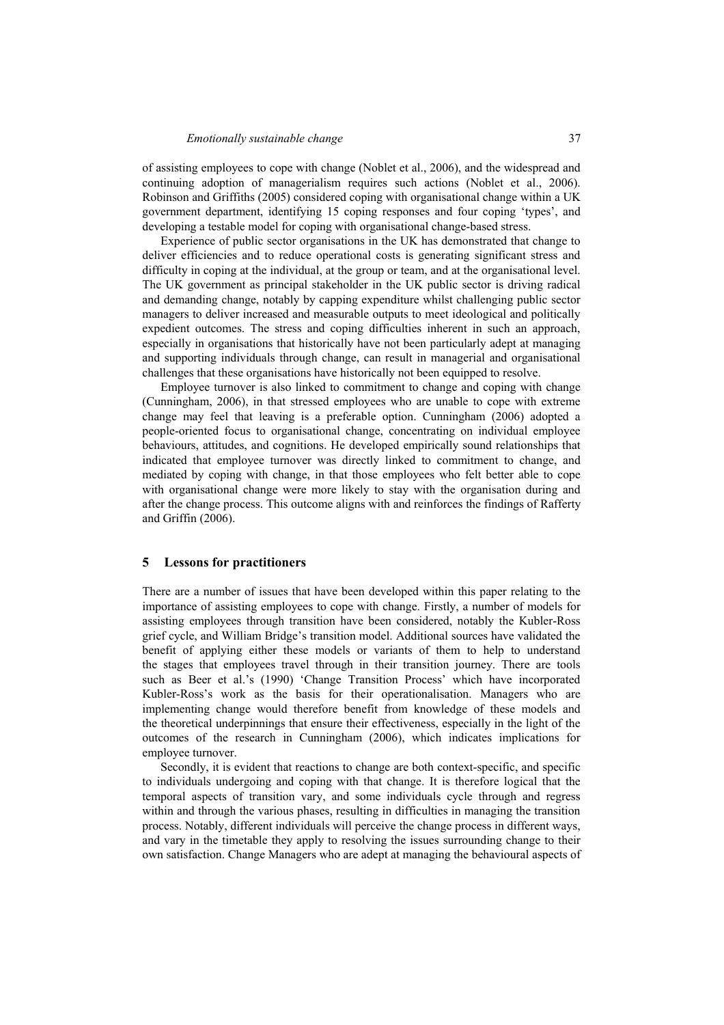of assisting employees to cope with change (Noblet et al., 2006), and the widespread and continuing adoption of managerialism requires such actions (Noblet et al., 2006). Robinson and Griffiths (2005) considered coping with organisational change within a UK government department, identifying 15 coping responses and four coping 'types', and developing a testable model for coping with organisational change-based stress.

Experience of public sector organisations in the UK has demonstrated that change to deliver efficiencies and to reduce operational costs is generating significant stress and difficulty in coping at the individual, at the group or team, and at the organisational level. The UK government as principal stakeholder in the UK public sector is driving radical and demanding change, notably by capping expenditure whilst challenging public sector managers to deliver increased and measurable outputs to meet ideological and politically expedient outcomes. The stress and coping difficulties inherent in such an approach, especially in organisations that historically have not been particularly adept at managing and supporting individuals through change, can result in managerial and organisational challenges that these organisations have historically not been equipped to resolve.

Employee turnover is also linked to commitment to change and coping with change (Cunningham, 2006), in that stressed employees who are unable to cope with extreme change may feel that leaving is a preferable option. Cunningham (2006) adopted a people-oriented focus to organisational change, concentrating on individual employee behaviours, attitudes, and cognitions. He developed empirically sound relationships that indicated that employee turnover was directly linked to commitment to change, and mediated by coping with change, in that those employees who felt better able to cope with organisational change were more likely to stay with the organisation during and after the change process. This outcome aligns with and reinforces the findings of Rafferty and Griffin (2006).

#### **5 Lessons for practitioners**

There are a number of issues that have been developed within this paper relating to the importance of assisting employees to cope with change. Firstly, a number of models for assisting employees through transition have been considered, notably the Kubler-Ross grief cycle, and William Bridge's transition model. Additional sources have validated the benefit of applying either these models or variants of them to help to understand the stages that employees travel through in their transition journey. There are tools such as Beer et al.'s (1990) 'Change Transition Process' which have incorporated Kubler-Ross's work as the basis for their operationalisation. Managers who are implementing change would therefore benefit from knowledge of these models and the theoretical underpinnings that ensure their effectiveness, especially in the light of the outcomes of the research in Cunningham (2006), which indicates implications for employee turnover.

Secondly, it is evident that reactions to change are both context-specific, and specific to individuals undergoing and coping with that change. It is therefore logical that the temporal aspects of transition vary, and some individuals cycle through and regress within and through the various phases, resulting in difficulties in managing the transition process. Notably, different individuals will perceive the change process in different ways, and vary in the timetable they apply to resolving the issues surrounding change to their own satisfaction. Change Managers who are adept at managing the behavioural aspects of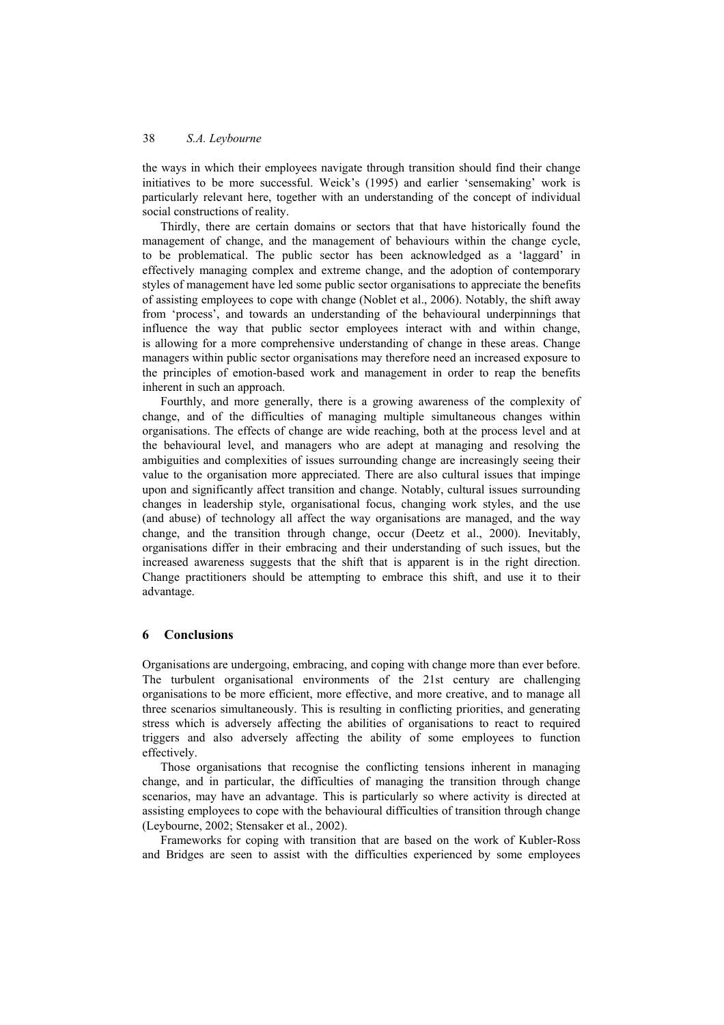the ways in which their employees navigate through transition should find their change initiatives to be more successful. Weick's (1995) and earlier 'sensemaking' work is particularly relevant here, together with an understanding of the concept of individual social constructions of reality.

Thirdly, there are certain domains or sectors that that have historically found the management of change, and the management of behaviours within the change cycle, to be problematical. The public sector has been acknowledged as a 'laggard' in effectively managing complex and extreme change, and the adoption of contemporary styles of management have led some public sector organisations to appreciate the benefits of assisting employees to cope with change (Noblet et al., 2006). Notably, the shift away from 'process', and towards an understanding of the behavioural underpinnings that influence the way that public sector employees interact with and within change, is allowing for a more comprehensive understanding of change in these areas. Change managers within public sector organisations may therefore need an increased exposure to the principles of emotion-based work and management in order to reap the benefits inherent in such an approach.

Fourthly, and more generally, there is a growing awareness of the complexity of change, and of the difficulties of managing multiple simultaneous changes within organisations. The effects of change are wide reaching, both at the process level and at the behavioural level, and managers who are adept at managing and resolving the ambiguities and complexities of issues surrounding change are increasingly seeing their value to the organisation more appreciated. There are also cultural issues that impinge upon and significantly affect transition and change. Notably, cultural issues surrounding changes in leadership style, organisational focus, changing work styles, and the use (and abuse) of technology all affect the way organisations are managed, and the way change, and the transition through change, occur (Deetz et al., 2000). Inevitably, organisations differ in their embracing and their understanding of such issues, but the increased awareness suggests that the shift that is apparent is in the right direction. Change practitioners should be attempting to embrace this shift, and use it to their advantage.

#### **6 Conclusions**

Organisations are undergoing, embracing, and coping with change more than ever before. The turbulent organisational environments of the 21st century are challenging organisations to be more efficient, more effective, and more creative, and to manage all three scenarios simultaneously. This is resulting in conflicting priorities, and generating stress which is adversely affecting the abilities of organisations to react to required triggers and also adversely affecting the ability of some employees to function effectively.

Those organisations that recognise the conflicting tensions inherent in managing change, and in particular, the difficulties of managing the transition through change scenarios, may have an advantage. This is particularly so where activity is directed at assisting employees to cope with the behavioural difficulties of transition through change (Leybourne, 2002; Stensaker et al., 2002).

Frameworks for coping with transition that are based on the work of Kubler-Ross and Bridges are seen to assist with the difficulties experienced by some employees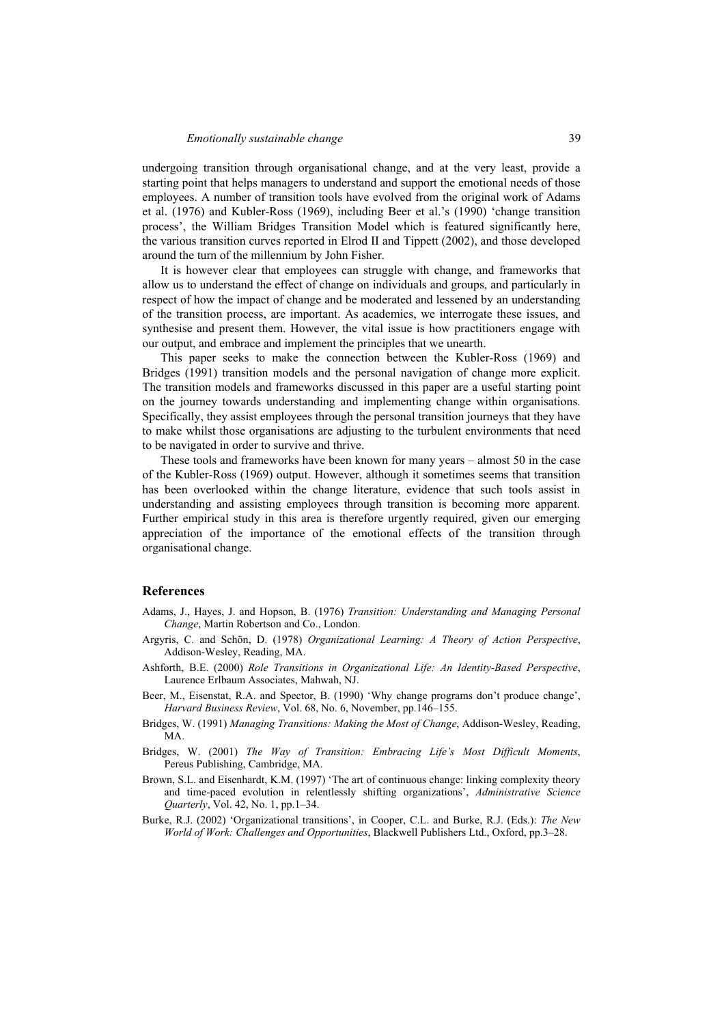undergoing transition through organisational change, and at the very least, provide a starting point that helps managers to understand and support the emotional needs of those employees. A number of transition tools have evolved from the original work of Adams et al. (1976) and Kubler-Ross (1969), including Beer et al.'s (1990) 'change transition process', the William Bridges Transition Model which is featured significantly here, the various transition curves reported in Elrod II and Tippett (2002), and those developed around the turn of the millennium by John Fisher.

It is however clear that employees can struggle with change, and frameworks that allow us to understand the effect of change on individuals and groups, and particularly in respect of how the impact of change and be moderated and lessened by an understanding of the transition process, are important. As academics, we interrogate these issues, and synthesise and present them. However, the vital issue is how practitioners engage with our output, and embrace and implement the principles that we unearth.

This paper seeks to make the connection between the Kubler-Ross (1969) and Bridges (1991) transition models and the personal navigation of change more explicit. The transition models and frameworks discussed in this paper are a useful starting point on the journey towards understanding and implementing change within organisations. Specifically, they assist employees through the personal transition journeys that they have to make whilst those organisations are adjusting to the turbulent environments that need to be navigated in order to survive and thrive.

These tools and frameworks have been known for many years – almost 50 in the case of the Kubler-Ross (1969) output. However, although it sometimes seems that transition has been overlooked within the change literature, evidence that such tools assist in understanding and assisting employees through transition is becoming more apparent. Further empirical study in this area is therefore urgently required, given our emerging appreciation of the importance of the emotional effects of the transition through organisational change.

#### **References**

- Adams, J., Hayes, J. and Hopson, B. (1976) *Transition: Understanding and Managing Personal Change*, Martin Robertson and Co., London.
- Argyris, C. and Schön, D. (1978) *Organizational Learning: A Theory of Action Perspective*, Addison-Wesley, Reading, MA.
- Ashforth, B.E. (2000) *Role Transitions in Organizational Life: An Identity-Based Perspective*, Laurence Erlbaum Associates, Mahwah, NJ.
- Beer, M., Eisenstat, R.A. and Spector, B. (1990) 'Why change programs don't produce change', *Harvard Business Review*, Vol. 68, No. 6, November, pp.146–155.
- Bridges, W. (1991) *Managing Transitions: Making the Most of Change*, Addison-Wesley, Reading, MA.
- Bridges, W. (2001) *The Way of Transition: Embracing Life's Most Difficult Moments*, Pereus Publishing, Cambridge, MA.
- Brown, S.L. and Eisenhardt, K.M. (1997) 'The art of continuous change: linking complexity theory and time-paced evolution in relentlessly shifting organizations', *Administrative Science Quarterly*, Vol. 42, No. 1, pp.1–34.
- Burke, R.J. (2002) 'Organizational transitions', in Cooper, C.L. and Burke, R.J. (Eds.): *The New World of Work: Challenges and Opportunities*, Blackwell Publishers Ltd., Oxford, pp.3–28.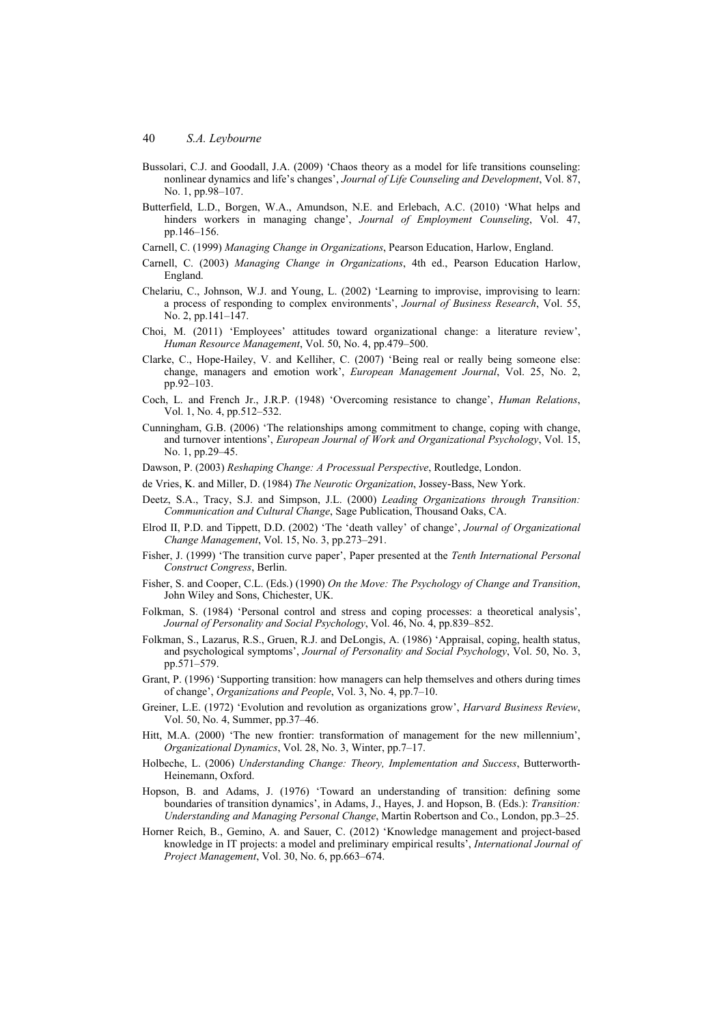- Bussolari, C.J. and Goodall, J.A. (2009) 'Chaos theory as a model for life transitions counseling: nonlinear dynamics and life's changes', *Journal of Life Counseling and Development*, Vol. 87, No. 1, pp.98–107.
- Butterfield, L.D., Borgen, W.A., Amundson, N.E. and Erlebach, A.C. (2010) 'What helps and hinders workers in managing change', *Journal of Employment Counseling*, Vol. 47, pp.146–156.
- Carnell, C. (1999) *Managing Change in Organizations*, Pearson Education, Harlow, England.
- Carnell, C. (2003) *Managing Change in Organizations*, 4th ed., Pearson Education Harlow, England.
- Chelariu, C., Johnson, W.J. and Young, L. (2002) 'Learning to improvise, improvising to learn: a process of responding to complex environments', *Journal of Business Research*, Vol. 55, No. 2, pp.141–147.
- Choi, M. (2011) 'Employees' attitudes toward organizational change: a literature review', *Human Resource Management*, Vol. 50, No. 4, pp.479–500.
- Clarke, C., Hope-Hailey, V. and Kelliher, C. (2007) 'Being real or really being someone else: change, managers and emotion work', *European Management Journal*, Vol. 25, No. 2, pp.92–103.
- Coch, L. and French Jr., J.R.P. (1948) 'Overcoming resistance to change', *Human Relations*, Vol. 1, No. 4, pp.512–532.
- Cunningham, G.B. (2006) 'The relationships among commitment to change, coping with change, and turnover intentions', *European Journal of Work and Organizational Psychology*, Vol. 15, No. 1, pp.29–45.
- Dawson, P. (2003) *Reshaping Change: A Processual Perspective*, Routledge, London.
- de Vries, K. and Miller, D. (1984) *The Neurotic Organization*, Jossey-Bass, New York.
- Deetz, S.A., Tracy, S.J. and Simpson, J.L. (2000) *Leading Organizations through Transition: Communication and Cultural Change*, Sage Publication, Thousand Oaks, CA.
- Elrod II, P.D. and Tippett, D.D. (2002) 'The 'death valley' of change', *Journal of Organizational Change Management*, Vol. 15, No. 3, pp.273–291.
- Fisher, J. (1999) 'The transition curve paper', Paper presented at the *Tenth International Personal Construct Congress*, Berlin.
- Fisher, S. and Cooper, C.L. (Eds.) (1990) *On the Move: The Psychology of Change and Transition*, John Wiley and Sons, Chichester, UK.
- Folkman, S. (1984) 'Personal control and stress and coping processes: a theoretical analysis', *Journal of Personality and Social Psychology*, Vol. 46, No. 4, pp.839–852.
- Folkman, S., Lazarus, R.S., Gruen, R.J. and DeLongis, A. (1986) 'Appraisal, coping, health status, and psychological symptoms', *Journal of Personality and Social Psychology*, Vol. 50, No. 3, pp.571–579.
- Grant, P. (1996) 'Supporting transition: how managers can help themselves and others during times of change', *Organizations and People*, Vol. 3, No. 4, pp.7–10.
- Greiner, L.E. (1972) 'Evolution and revolution as organizations grow', *Harvard Business Review*, Vol. 50, No. 4, Summer, pp.37–46.
- Hitt, M.A. (2000) 'The new frontier: transformation of management for the new millennium', *Organizational Dynamics*, Vol. 28, No. 3, Winter, pp.7–17.
- Holbeche, L. (2006) *Understanding Change: Theory, Implementation and Success*, Butterworth-Heinemann, Oxford.
- Hopson, B. and Adams, J. (1976) 'Toward an understanding of transition: defining some boundaries of transition dynamics', in Adams, J., Hayes, J. and Hopson, B. (Eds.): *Transition: Understanding and Managing Personal Change*, Martin Robertson and Co., London, pp.3–25.
- Horner Reich, B., Gemino, A. and Sauer, C. (2012) 'Knowledge management and project-based knowledge in IT projects: a model and preliminary empirical results', *International Journal of Project Management*, Vol. 30, No. 6, pp.663–674.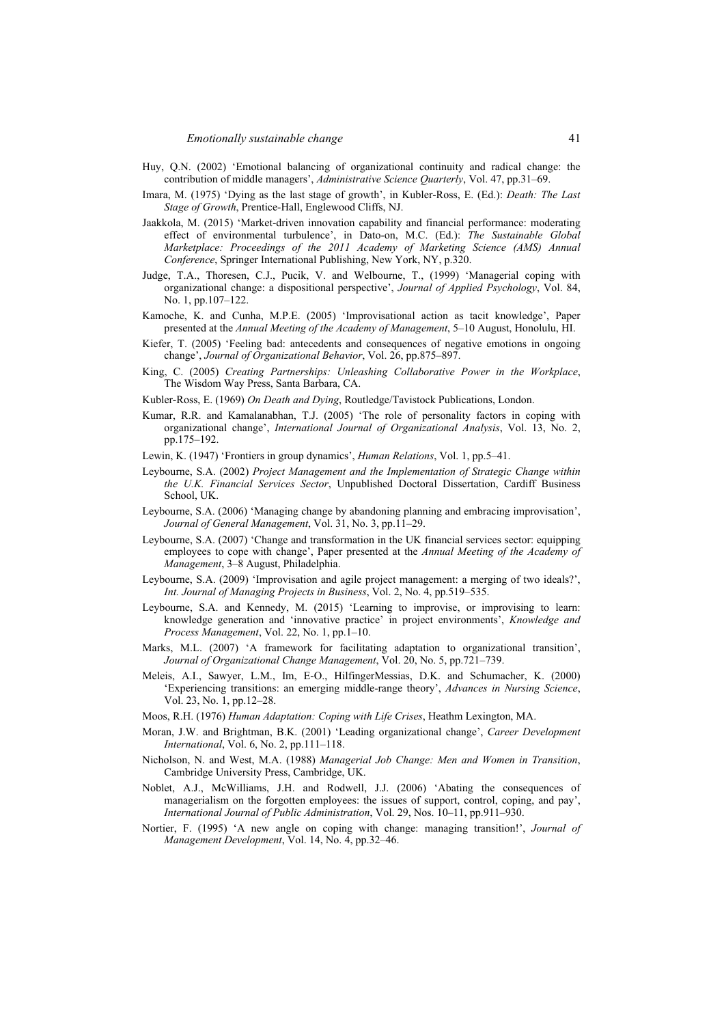- Huy, Q.N. (2002) 'Emotional balancing of organizational continuity and radical change: the contribution of middle managers', *Administrative Science Quarterly*, Vol. 47, pp.31–69.
- Imara, M. (1975) 'Dying as the last stage of growth', in Kubler-Ross, E. (Ed.): *Death: The Last Stage of Growth*, Prentice-Hall, Englewood Cliffs, NJ.
- Jaakkola, M. (2015) 'Market-driven innovation capability and financial performance: moderating effect of environmental turbulence', in Dato-on, M.C. (Ed.): *The Sustainable Global Marketplace: Proceedings of the 2011 Academy of Marketing Science (AMS) Annual Conference*, Springer International Publishing, New York, NY, p.320.
- Judge, T.A., Thoresen, C.J., Pucik, V. and Welbourne, T., (1999) 'Managerial coping with organizational change: a dispositional perspective', *Journal of Applied Psychology*, Vol. 84, No. 1, pp.107–122.
- Kamoche, K. and Cunha, M.P.E. (2005) 'Improvisational action as tacit knowledge', Paper presented at the *Annual Meeting of the Academy of Management*, 5–10 August, Honolulu, HI.
- Kiefer, T. (2005) 'Feeling bad: antecedents and consequences of negative emotions in ongoing change', *Journal of Organizational Behavior*, Vol. 26, pp.875–897.
- King, C. (2005) *Creating Partnerships: Unleashing Collaborative Power in the Workplace*, The Wisdom Way Press, Santa Barbara, CA.
- Kubler-Ross, E. (1969) *On Death and Dying*, Routledge/Tavistock Publications, London.
- Kumar, R.R. and Kamalanabhan, T.J. (2005) 'The role of personality factors in coping with organizational change', *International Journal of Organizational Analysis*, Vol. 13, No. 2, pp.175–192.
- Lewin, K. (1947) 'Frontiers in group dynamics', *Human Relations*, Vol. 1, pp.5–41.
- Leybourne, S.A. (2002) *Project Management and the Implementation of Strategic Change within the U.K. Financial Services Sector*, Unpublished Doctoral Dissertation, Cardiff Business School, UK.
- Leybourne, S.A. (2006) 'Managing change by abandoning planning and embracing improvisation', *Journal of General Management*, Vol. 31, No. 3, pp.11–29.
- Leybourne, S.A. (2007) 'Change and transformation in the UK financial services sector: equipping employees to cope with change', Paper presented at the *Annual Meeting of the Academy of Management*, 3–8 August, Philadelphia.
- Leybourne, S.A. (2009) 'Improvisation and agile project management: a merging of two ideals?', *Int. Journal of Managing Projects in Business*, Vol. 2, No. 4, pp.519–535.
- Leybourne, S.A. and Kennedy, M. (2015) 'Learning to improvise, or improvising to learn: knowledge generation and 'innovative practice' in project environments', *Knowledge and Process Management*, Vol. 22, No. 1, pp.1–10.
- Marks, M.L. (2007) 'A framework for facilitating adaptation to organizational transition', *Journal of Organizational Change Management*, Vol. 20, No. 5, pp.721–739.
- Meleis, A.I., Sawyer, L.M., Im, E-O., HilfingerMessias, D.K. and Schumacher, K. (2000) 'Experiencing transitions: an emerging middle-range theory', *Advances in Nursing Science*, Vol. 23, No. 1, pp.12–28.
- Moos, R.H. (1976) *Human Adaptation: Coping with Life Crises*, Heathm Lexington, MA.
- Moran, J.W. and Brightman, B.K. (2001) 'Leading organizational change', *Career Development International*, Vol. 6, No. 2, pp.111–118.
- Nicholson, N. and West, M.A. (1988) *Managerial Job Change: Men and Women in Transition*, Cambridge University Press, Cambridge, UK.
- Noblet, A.J., McWilliams, J.H. and Rodwell, J.J. (2006) 'Abating the consequences of managerialism on the forgotten employees: the issues of support, control, coping, and pay', *International Journal of Public Administration*, Vol. 29, Nos. 10–11, pp.911–930.
- Nortier, F. (1995) 'A new angle on coping with change: managing transition!', *Journal of Management Development*, Vol. 14, No. 4, pp.32–46.